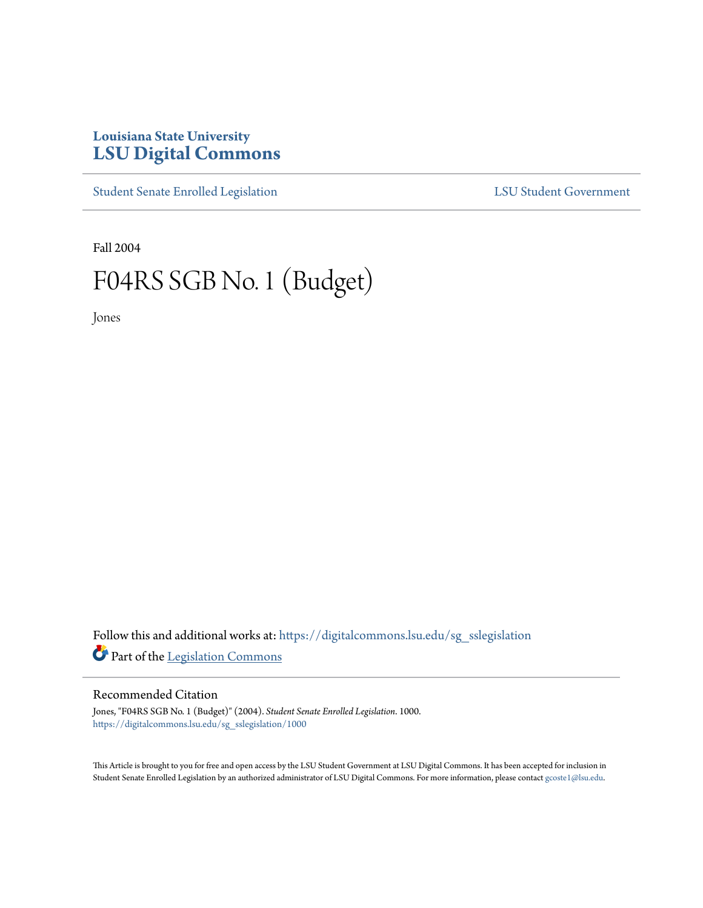# **Louisiana State University [LSU Digital Commons](https://digitalcommons.lsu.edu?utm_source=digitalcommons.lsu.edu%2Fsg_sslegislation%2F1000&utm_medium=PDF&utm_campaign=PDFCoverPages)**

[Student Senate Enrolled Legislation](https://digitalcommons.lsu.edu/sg_sslegislation?utm_source=digitalcommons.lsu.edu%2Fsg_sslegislation%2F1000&utm_medium=PDF&utm_campaign=PDFCoverPages) [LSU Student Government](https://digitalcommons.lsu.edu/sg?utm_source=digitalcommons.lsu.edu%2Fsg_sslegislation%2F1000&utm_medium=PDF&utm_campaign=PDFCoverPages)

Fall 2004

# F04RS SGB No. 1 (Budget)

Jones

Follow this and additional works at: [https://digitalcommons.lsu.edu/sg\\_sslegislation](https://digitalcommons.lsu.edu/sg_sslegislation?utm_source=digitalcommons.lsu.edu%2Fsg_sslegislation%2F1000&utm_medium=PDF&utm_campaign=PDFCoverPages) Part of the [Legislation Commons](http://network.bepress.com/hgg/discipline/859?utm_source=digitalcommons.lsu.edu%2Fsg_sslegislation%2F1000&utm_medium=PDF&utm_campaign=PDFCoverPages)

# Recommended Citation

Jones, "F04RS SGB No. 1 (Budget)" (2004). *Student Senate Enrolled Legislation*. 1000. [https://digitalcommons.lsu.edu/sg\\_sslegislation/1000](https://digitalcommons.lsu.edu/sg_sslegislation/1000?utm_source=digitalcommons.lsu.edu%2Fsg_sslegislation%2F1000&utm_medium=PDF&utm_campaign=PDFCoverPages)

This Article is brought to you for free and open access by the LSU Student Government at LSU Digital Commons. It has been accepted for inclusion in Student Senate Enrolled Legislation by an authorized administrator of LSU Digital Commons. For more information, please contact [gcoste1@lsu.edu.](mailto:gcoste1@lsu.edu)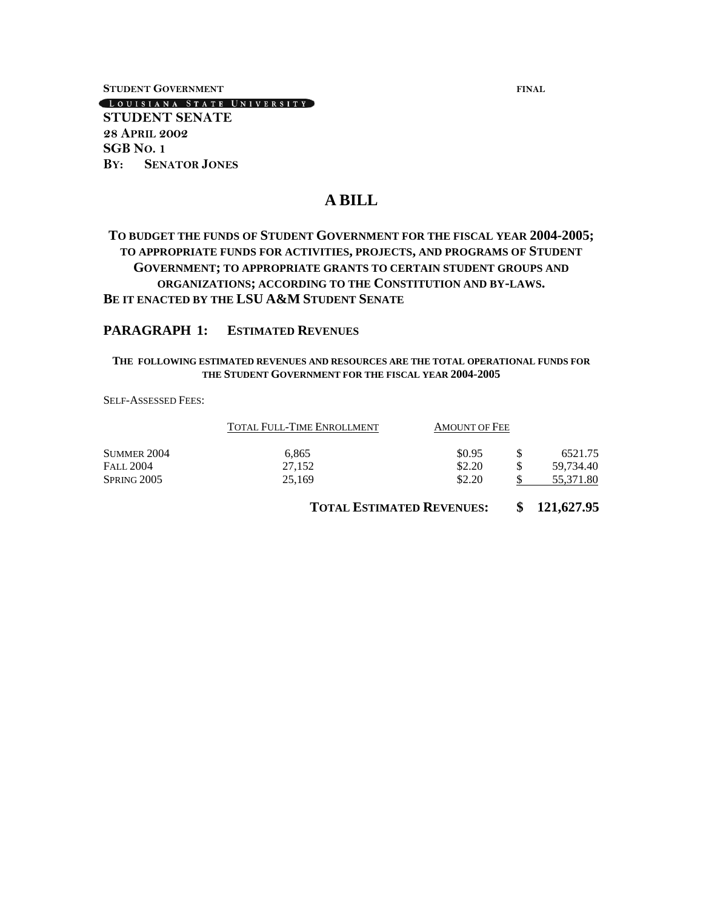**STUDENT GOVERNMENT FINAL**

LOUISIANA STATE UNIVERSITY

**STUDENT SENATE 28 APRIL 2002 SGB NO. 1 BY: SENATOR JONES**

# **A BILL**

# **TO BUDGET THE FUNDS OF STUDENT GOVERNMENT FOR THE FISCAL YEAR 2004-2005; TO APPROPRIATE FUNDS FOR ACTIVITIES, PROJECTS, AND PROGRAMS OF STUDENT GOVERNMENT; TO APPROPRIATE GRANTS TO CERTAIN STUDENT GROUPS AND ORGANIZATIONS; ACCORDING TO THE CONSTITUTION AND BY-LAWS. BE IT ENACTED BY THE LSU A&M STUDENT SENATE**

# **PARAGRAPH 1: ESTIMATED REVENUES**

## **THE FOLLOWING ESTIMATED REVENUES AND RESOURCES ARE THE TOTAL OPERATIONAL FUNDS FOR THE STUDENT GOVERNMENT FOR THE FISCAL YEAR 2004-2005**

SELF-ASSESSED FEES:

|                    | TOTAL FULL-TIME ENROLLMENT | <b>AMOUNT OF FEE</b> |   |           |
|--------------------|----------------------------|----------------------|---|-----------|
| <b>SUMMER 2004</b> | 6.865                      | \$0.95               |   | 6521.75   |
| <b>FALL 2004</b>   | 27.152                     | \$2.20               | S | 59.734.40 |
| SPRING 2005        | 25,169                     | \$2.20               | ¢ | 55,371.80 |

**TOTAL ESTIMATED REVENUES: \$ 121,627.95**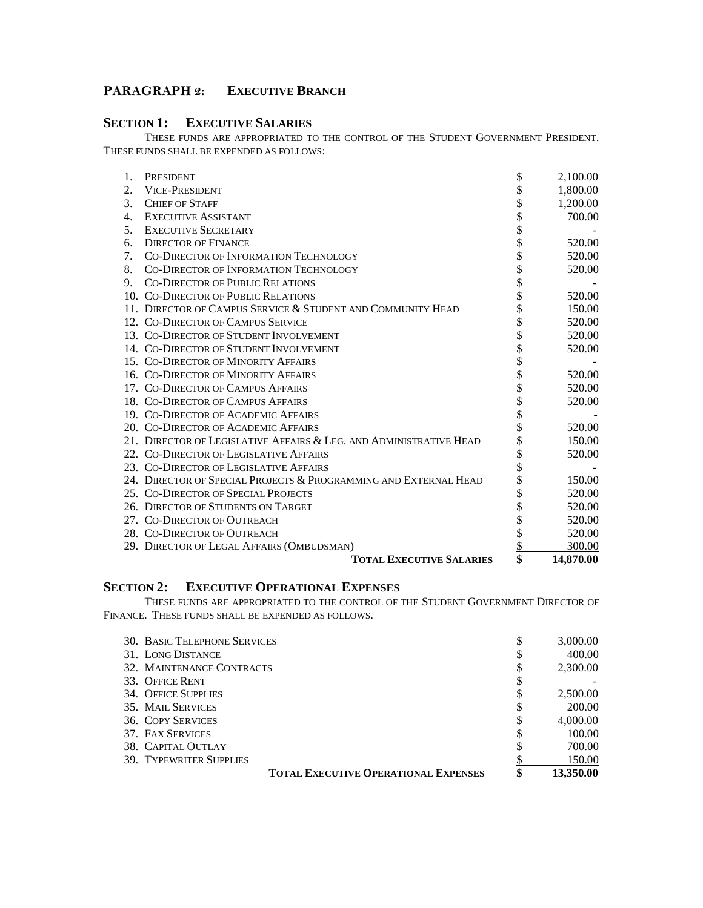# **PARAGRAPH 2: EXECUTIVE BRANCH**

# **SECTION 1: EXECUTIVE SALARIES**

THESE FUNDS ARE APPROPRIATED TO THE CONTROL OF THE STUDENT GOVERNMENT PRESIDENT. THESE FUNDS SHALL BE EXPENDED AS FOLLOWS:

| 1.             | PRESIDENT                                                          | \$       | 2,100.00  |
|----------------|--------------------------------------------------------------------|----------|-----------|
| 2.             | <b>VICE-PRESIDENT</b>                                              | \$       | 1,800.00  |
| 3.             | <b>CHIEF OF STAFF</b>                                              | \$       | 1,200.00  |
| $\mathbf{4}$ . | <b>EXECUTIVE ASSISTANT</b>                                         | \$       | 700.00    |
| 5.             | <b>EXECUTIVE SECRETARY</b>                                         | \$       |           |
| 6.             | <b>DIRECTOR OF FINANCE</b>                                         | \$       | 520.00    |
| 7.             | <b>CO-DIRECTOR OF INFORMATION TECHNOLOGY</b>                       | \$       | 520.00    |
| 8.             | CO-DIRECTOR OF INFORMATION TECHNOLOGY                              | \$<br>\$ | 520.00    |
| 9.             | <b>CO-DIRECTOR OF PUBLIC RELATIONS</b>                             |          |           |
|                | 10. CO-DIRECTOR OF PUBLIC RELATIONS                                | \$       | 520.00    |
|                | 11. DIRECTOR OF CAMPUS SERVICE & STUDENT AND COMMUNITY HEAD        | \$       | 150.00    |
|                | 12. CO-DIRECTOR OF CAMPUS SERVICE                                  | \$       | 520.00    |
|                | 13. CO-DIRECTOR OF STUDENT INVOLVEMENT                             | \$       | 520.00    |
|                | 14. CO-DIRECTOR OF STUDENT INVOLVEMENT                             | \$       | 520.00    |
|                | 15. CO-DIRECTOR OF MINORITY AFFAIRS                                | \$       |           |
|                | 16. CO-DIRECTOR OF MINORITY AFFAIRS                                | \$       | 520.00    |
|                | 17. CO-DIRECTOR OF CAMPUS AFFAIRS                                  | \$       | 520.00    |
|                | 18. CO-DIRECTOR OF CAMPUS AFFAIRS                                  | \$       | 520.00    |
|                | 19. CO-DIRECTOR OF ACADEMIC AFFAIRS                                | \$       |           |
|                | 20. CO-DIRECTOR OF ACADEMIC AFFAIRS                                |          | 520.00    |
|                | 21. DIRECTOR OF LEGISLATIVE AFFAIRS & LEG. AND ADMINISTRATIVE HEAD |          | 150.00    |
|                | 22. CO-DIRECTOR OF LEGISLATIVE AFFAIRS                             | \$       | 520.00    |
|                | 23. CO-DIRECTOR OF LEGISLATIVE AFFAIRS                             | \$       |           |
|                | 24. DIRECTOR OF SPECIAL PROJECTS & PROGRAMMING AND EXTERNAL HEAD   |          | 150.00    |
|                | 25. CO-DIRECTOR OF SPECIAL PROJECTS                                | \$       | 520.00    |
|                | 26. DIRECTOR OF STUDENTS ON TARGET                                 |          | 520.00    |
|                | 27. CO-DIRECTOR OF OUTREACH                                        | \$       | 520.00    |
|                | 28. CO-DIRECTOR OF OUTREACH                                        | \$       | 520.00    |
|                | 29. DIRECTOR OF LEGAL AFFAIRS (OMBUDSMAN)                          | \$       | 300.00    |
|                | <b>TOTAL EXECUTIVE SALARIES</b>                                    | \$       | 14,870.00 |

# **SECTION 2: EXECUTIVE OPERATIONAL EXPENSES**

THESE FUNDS ARE APPROPRIATED TO THE CONTROL OF THE STUDENT GOVERNMENT DIRECTOR OF FINANCE. THESE FUNDS SHALL BE EXPENDED AS FOLLOWS.

| <b>30. BASIC TELEPHONE SERVICES</b>         | \$<br>3,000.00  |
|---------------------------------------------|-----------------|
| 31. LONG DISTANCE                           | \$<br>400.00    |
| 32. MAINTENANCE CONTRACTS                   | \$<br>2,300.00  |
| 33. OFFICE RENT                             | \$              |
| <b>34. OFFICE SUPPLIES</b>                  | \$<br>2,500.00  |
| 35. MAIL SERVICES                           | \$<br>200.00    |
| <b>36. COPY SERVICES</b>                    | \$<br>4,000.00  |
| 37. FAX SERVICES                            | \$<br>100.00    |
| 38. CAPITAL OUTLAY                          | \$<br>700.00    |
| <b>39. TYPEWRITER SUPPLIES</b>              | 150.00          |
| <b>TOTAL EXECUTIVE OPERATIONAL EXPENSES</b> | \$<br>13,350.00 |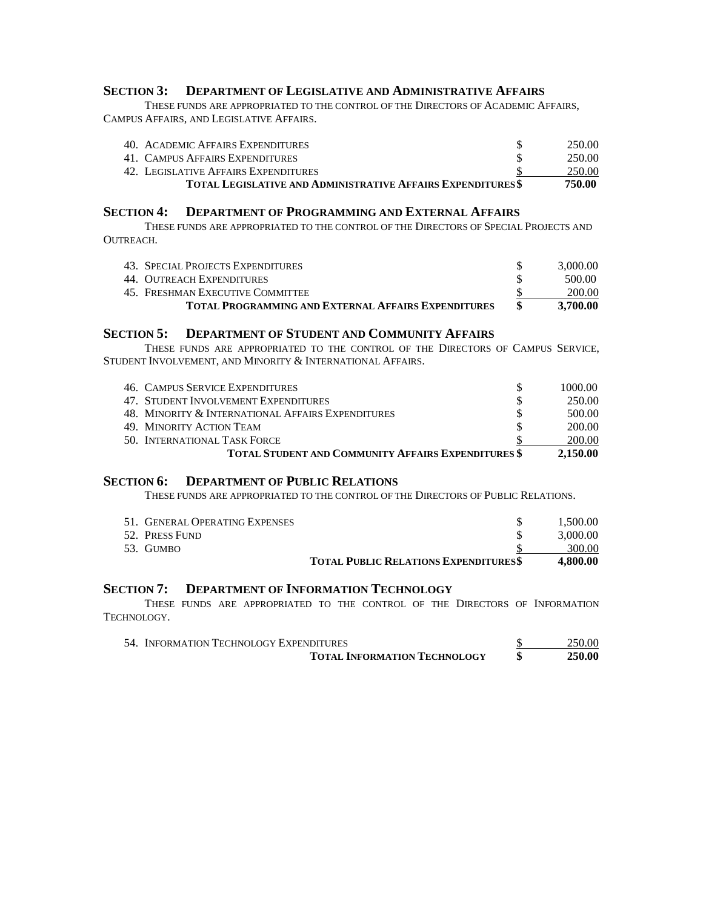# **SECTION 3: DEPARTMENT OF LEGISLATIVE AND ADMINISTRATIVE AFFAIRS**

THESE FUNDS ARE APPROPRIATED TO THE CONTROL OF THE DIRECTORS OF ACADEMIC AFFAIRS, CAMPUS AFFAIRS, AND LEGISLATIVE AFFAIRS.

| 40. ACADEMIC AFFAIRS EXPENDITURES                                  | 250.00 |
|--------------------------------------------------------------------|--------|
| 41. CAMPUS AFFAIRS EXPENDITURES                                    | 250.00 |
| 42. LEGISLATIVE AFFAIRS EXPENDITURES                               | 250.00 |
| <b>TOTAL LEGISLATIVE AND ADMINISTRATIVE AFFAIRS EXPENDITURES\$</b> | 750.00 |

## **SECTION 4: DEPARTMENT OF PROGRAMMING AND EXTERNAL AFFAIRS**

THESE FUNDS ARE APPROPRIATED TO THE CONTROL OF THE DIRECTORS OF SPECIAL PROJECTS AND OUTREACH.

| 43. SPECIAL PROJECTS EXPENDITURES                          | 3.000.00 |
|------------------------------------------------------------|----------|
| 44. OUTREACH EXPENDITURES                                  | 500.00   |
| 45.   Freshman Executive Committee                         | 200.00   |
| <b>TOTAL PROGRAMMING AND EXTERNAL AFFAIRS EXPENDITURES</b> | 3.700.00 |

# **SECTION 5: DEPARTMENT OF STUDENT AND COMMUNITY AFFAIRS**

THESE FUNDS ARE APPROPRIATED TO THE CONTROL OF THE DIRECTORS OF CAMPUS SERVICE, STUDENT INVOLVEMENT, AND MINORITY & INTERNATIONAL AFFAIRS.

| <b>46. CAMPUS SERVICE EXPENDITURES</b>                     | 1000.00  |
|------------------------------------------------------------|----------|
| 47. STUDENT INVOLVEMENT EXPENDITURES                       | 250.00   |
| 48. MINORITY & INTERNATIONAL AFFAIRS EXPENDITURES          | 500.00   |
| 49. MINORITY ACTION TEAM                                   | 200.00   |
| 50. INTERNATIONAL TASK FORCE                               | 200.00   |
| <b>TOTAL STUDENT AND COMMUNITY AFFAIRS EXPENDITURES \$</b> | 2.150.00 |

## **SECTION 6: DEPARTMENT OF PUBLIC RELATIONS**

THESE FUNDS ARE APPROPRIATED TO THE CONTROL OF THE DIRECTORS OF PUBLIC RELATIONS.

| 51. GENERAL OPERATING EXPENSES |                                             | 1.500.00 |
|--------------------------------|---------------------------------------------|----------|
| 52. PRESS FUND                 |                                             | 3,000.00 |
| 53. GUMBO                      |                                             | 300.00   |
|                                | <b>TOTAL PUBLIC RELATIONS EXPENDITURESS</b> | 4.800.00 |

# **SECTION 7: DEPARTMENT OF INFORMATION TECHNOLOGY**

THESE FUNDS ARE APPROPRIATED TO THE CONTROL OF THE DIRECTORS OF INFORMATION TECHNOLOGY.

| 54. INFORMATION TECHNOLOGY EXPENDITURES | 250.00        |
|-----------------------------------------|---------------|
| <b>TOTAL INFORMATION TECHNOLOGY</b>     | <b>250.00</b> |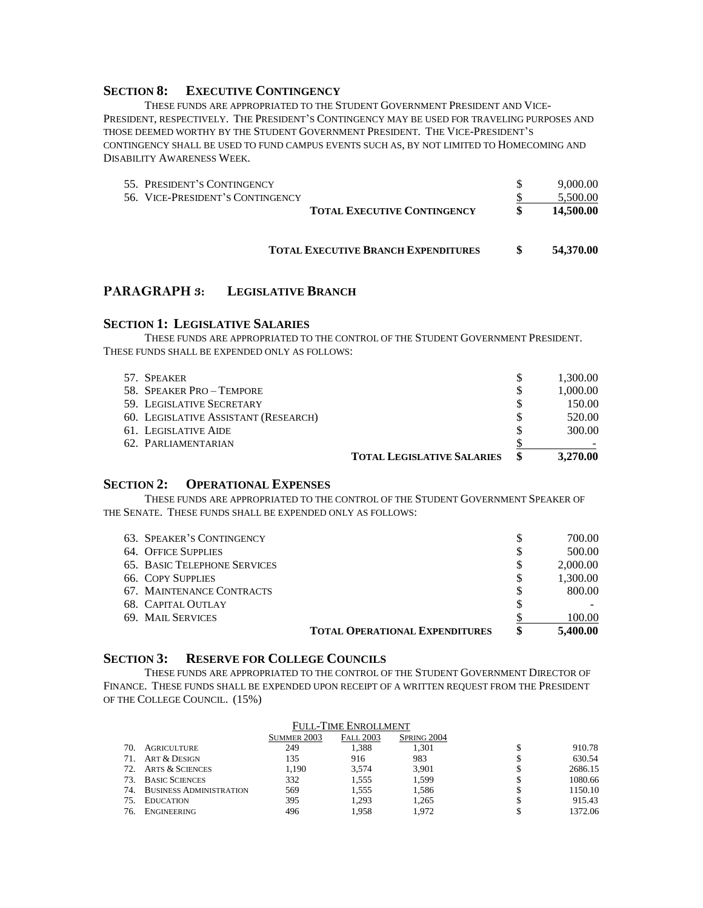## **SECTION 8: EXECUTIVE CONTINGENCY**

THESE FUNDS ARE APPROPRIATED TO THE STUDENT GOVERNMENT PRESIDENT AND VICE-PRESIDENT, RESPECTIVELY. THE PRESIDENT'S CONTINGENCY MAY BE USED FOR TRAVELING PURPOSES AND THOSE DEEMED WORTHY BY THE STUDENT GOVERNMENT PRESIDENT. THE VICE-PRESIDENT'S CONTINGENCY SHALL BE USED TO FUND CAMPUS EVENTS SUCH AS, BY NOT LIMITED TO HOMECOMING AND DISABILITY AWARENESS WEEK.

| 55. PRESIDENT'S CONTINGENCY      |                                            | 9.000.00  |
|----------------------------------|--------------------------------------------|-----------|
| 56. VICE-PRESIDENT'S CONTINGENCY |                                            | 5.500.00  |
|                                  | <b>TOTAL EXECUTIVE CONTINGENCY</b>         | 14,500.00 |
|                                  | <b>TOTAL EXECUTIVE BRANCH EXPENDITURES</b> | 54,370.00 |

# **PARAGRAPH 3: LEGISLATIVE BRANCH**

### **SECTION 1: LEGISLATIVE SALARIES**

THESE FUNDS ARE APPROPRIATED TO THE CONTROL OF THE STUDENT GOVERNMENT PRESIDENT. THESE FUNDS SHALL BE EXPENDED ONLY AS FOLLOWS:

| 57. SPEAKER                          |                                   |   | 1,300.00 |
|--------------------------------------|-----------------------------------|---|----------|
| 58. SPEAKER PRO - TEMPORE            |                                   | S | 1,000.00 |
| 59. LEGISLATIVE SECRETARY            |                                   |   | 150.00   |
| 60. LEGISLATIVE ASSISTANT (RESEARCH) |                                   | S | 520.00   |
| 61. LEGISLATIVE AIDE                 |                                   |   | 300.00   |
| 62. PARLIAMENTARIAN                  |                                   |   |          |
|                                      | <b>TOTAL LEGISLATIVE SALARIES</b> |   | 3,270.00 |

# **SECTION 2: OPERATIONAL EXPENSES**

THESE FUNDS ARE APPROPRIATED TO THE CONTROL OF THE STUDENT GOVERNMENT SPEAKER OF THE SENATE. THESE FUNDS SHALL BE EXPENDED ONLY AS FOLLOWS:

| 63. SPEAKER'S CONTINGENCY           |                                       | \$ | 700.00   |
|-------------------------------------|---------------------------------------|----|----------|
| 64. OFFICE SUPPLIES                 |                                       | \$ | 500.00   |
| <b>65. BASIC TELEPHONE SERVICES</b> |                                       | \$ | 2,000.00 |
| <b>66. COPY SUPPLIES</b>            |                                       | \$ | 1.300.00 |
| 67. MAINTENANCE CONTRACTS           |                                       | S  | 800.00   |
| 68. CAPITAL OUTLAY                  |                                       |    |          |
| 69. MAIL SERVICES                   |                                       |    | 100.00   |
|                                     | <b>TOTAL OPERATIONAL EXPENDITURES</b> | S  | 5,400.00 |

# **SECTION 3: RESERVE FOR COLLEGE COUNCILS**

THESE FUNDS ARE APPROPRIATED TO THE CONTROL OF THE STUDENT GOVERNMENT DIRECTOR OF FINANCE. THESE FUNDS SHALL BE EXPENDED UPON RECEIPT OF A WRITTEN REQUEST FROM THE PRESIDENT OF THE COLLEGE COUNCIL. (15%)

|     | FULL-TIME ENROLLMENT           |             |                  |                    |  |         |
|-----|--------------------------------|-------------|------------------|--------------------|--|---------|
|     |                                | SUMMER 2003 | <b>FALL 2003</b> | <b>SPRING 2004</b> |  |         |
| 70. | <b>AGRICULTURE</b>             | 249         | 1,388            | 1.301              |  | 910.78  |
| 71. | ART & DESIGN                   | 135         | 916              | 983                |  | 630.54  |
| 72. | <b>ARTS &amp; SCIENCES</b>     | 1.190       | 3.574            | 3,901              |  | 2686.15 |
| 73. | <b>BASIC SCIENCES</b>          | 332         | 1.555            | 1.599              |  | 1080.66 |
| 74. | <b>BUSINESS ADMINISTRATION</b> | 569         | 1.555            | 1,586              |  | 1150.10 |
| 75. | <b>EDUCATION</b>               | 395         | 1.293            | 1.265              |  | 915.43  |
| 76. | <b>ENGINEERING</b>             | 496         | 1.958            | 1.972              |  | 1372.06 |